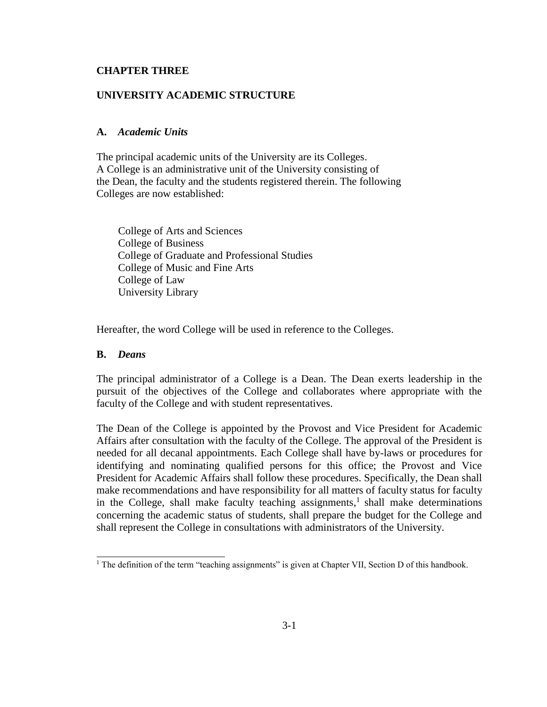### **CHAPTER THREE**

## **UNIVERSITY ACADEMIC STRUCTURE**

### **A.** *Academic Units*

The principal academic units of the University are its Colleges. A College is an administrative unit of the University consisting of the Dean, the faculty and the students registered therein. The following Colleges are now established:

College of Arts and Sciences College of Business College of Graduate and Professional Studies College of Music and Fine Arts College of Law University Library

Hereafter, the word College will be used in reference to the Colleges.

# **B.** *Deans*

The principal administrator of a College is a Dean. The Dean exerts leadership in the pursuit of the objectives of the College and collaborates where appropriate with the faculty of the College and with student representatives.

The Dean of the College is appointed by the Provost and Vice President for Academic Affairs after consultation with the faculty of the College. The approval of the President is needed for all decanal appointments. Each College shall have by-laws or procedures for identifying and nominating qualified persons for this office; the Provost and Vice President for Academic Affairs shall follow these procedures. Specifically, the Dean shall make recommendations and have responsibility for all matters of faculty status for faculty in the College, shall make faculty teaching assignments,<sup>1</sup> shall make determinations concerning the academic status of students, shall prepare the budget for the College and shall represent the College in consultations with administrators of the University.

<sup>&</sup>lt;sup>1</sup> The definition of the term "teaching assignments" is given at Chapter VII, Section D of this handbook.